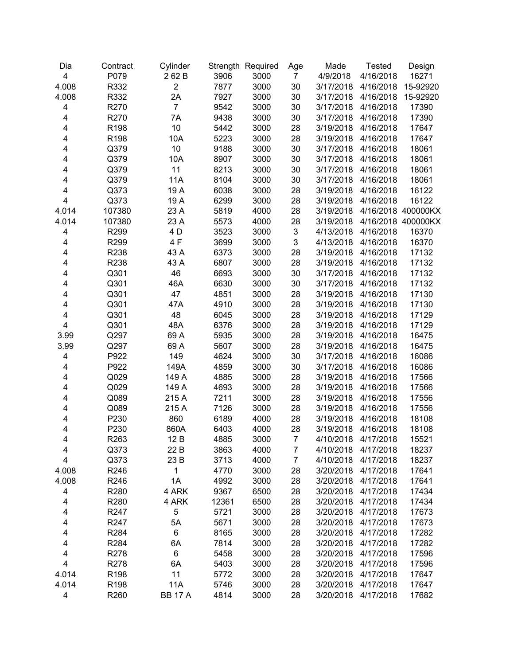| $\overline{\mathbf{4}}$<br>P079<br>262B<br>3906<br>3000<br>4/9/2018<br>4/16/2018<br>7<br>4.008<br>$\overline{2}$<br>R332<br>7877<br>3000<br>30<br>4/16/2018<br>3/17/2018<br>4.008<br>R332<br>2A<br>7927<br>3000<br>30<br>3/17/2018<br>4/16/2018<br>R270<br>$\overline{7}$<br>9542<br>3000<br>30<br>3/17/2018<br>4/16/2018<br>4<br>R270<br>7A<br>9438<br>3000<br>30<br>4<br>3/17/2018<br>4/16/2018<br>10<br>R198<br>5442<br>3000<br>28<br>4<br>3/19/2018<br>4/16/2018<br>3000<br>R198<br>10A<br>5223<br>28<br>4<br>3/19/2018<br>4/16/2018<br>10<br>3000<br>Q379<br>9188<br>30<br>4/16/2018<br>4<br>3/17/2018<br>3000<br>Q379<br>10A<br>8907<br>30<br>4<br>3/17/2018<br>4/16/2018 | 16271<br>15-92920<br>15-92920<br>17390<br>17390<br>17647<br>17647<br>18061<br>18061<br>18061<br>18061<br>16122 |
|---------------------------------------------------------------------------------------------------------------------------------------------------------------------------------------------------------------------------------------------------------------------------------------------------------------------------------------------------------------------------------------------------------------------------------------------------------------------------------------------------------------------------------------------------------------------------------------------------------------------------------------------------------------------------------|----------------------------------------------------------------------------------------------------------------|
|                                                                                                                                                                                                                                                                                                                                                                                                                                                                                                                                                                                                                                                                                 |                                                                                                                |
|                                                                                                                                                                                                                                                                                                                                                                                                                                                                                                                                                                                                                                                                                 |                                                                                                                |
|                                                                                                                                                                                                                                                                                                                                                                                                                                                                                                                                                                                                                                                                                 |                                                                                                                |
|                                                                                                                                                                                                                                                                                                                                                                                                                                                                                                                                                                                                                                                                                 |                                                                                                                |
|                                                                                                                                                                                                                                                                                                                                                                                                                                                                                                                                                                                                                                                                                 |                                                                                                                |
|                                                                                                                                                                                                                                                                                                                                                                                                                                                                                                                                                                                                                                                                                 |                                                                                                                |
|                                                                                                                                                                                                                                                                                                                                                                                                                                                                                                                                                                                                                                                                                 |                                                                                                                |
|                                                                                                                                                                                                                                                                                                                                                                                                                                                                                                                                                                                                                                                                                 |                                                                                                                |
|                                                                                                                                                                                                                                                                                                                                                                                                                                                                                                                                                                                                                                                                                 |                                                                                                                |
| 11<br>Q379<br>8213<br>3000<br>30<br>4<br>3/17/2018<br>4/16/2018                                                                                                                                                                                                                                                                                                                                                                                                                                                                                                                                                                                                                 |                                                                                                                |
| 3000<br>Q379<br><b>11A</b><br>8104<br>30<br>3/17/2018<br>4<br>4/16/2018                                                                                                                                                                                                                                                                                                                                                                                                                                                                                                                                                                                                         |                                                                                                                |
| 4<br>Q373<br>19 A<br>6038<br>3000<br>28<br>3/19/2018<br>4/16/2018                                                                                                                                                                                                                                                                                                                                                                                                                                                                                                                                                                                                               |                                                                                                                |
| 4<br>Q373<br>19 A<br>6299<br>3000<br>28<br>3/19/2018<br>4/16/2018                                                                                                                                                                                                                                                                                                                                                                                                                                                                                                                                                                                                               | 16122                                                                                                          |
| 4.014<br>107380<br>23 A<br>5819<br>4000<br>28<br>4/16/2018 400000KX<br>3/19/2018                                                                                                                                                                                                                                                                                                                                                                                                                                                                                                                                                                                                |                                                                                                                |
| 23 A<br>28<br>4.014<br>107380<br>5573<br>4000<br>3/19/2018<br>4/16/2018 400000KX                                                                                                                                                                                                                                                                                                                                                                                                                                                                                                                                                                                                |                                                                                                                |
| 4 D<br>$\ensuremath{\mathsf{3}}$<br>4<br>R299<br>3523<br>3000<br>4/13/2018<br>4/16/2018                                                                                                                                                                                                                                                                                                                                                                                                                                                                                                                                                                                         | 16370                                                                                                          |
| 3<br>4F<br>4<br>R299<br>3699<br>3000<br>4/13/2018<br>4/16/2018                                                                                                                                                                                                                                                                                                                                                                                                                                                                                                                                                                                                                  | 16370                                                                                                          |
| 4<br>R238<br>43 A<br>6373<br>3000<br>28<br>3/19/2018<br>4/16/2018                                                                                                                                                                                                                                                                                                                                                                                                                                                                                                                                                                                                               | 17132                                                                                                          |
| R238<br>43 A<br>6807<br>3000<br>28<br>3/19/2018<br>4<br>4/16/2018                                                                                                                                                                                                                                                                                                                                                                                                                                                                                                                                                                                                               | 17132                                                                                                          |
| 46<br>Q301<br>6693<br>3000<br>30<br>3/17/2018<br>4<br>4/16/2018                                                                                                                                                                                                                                                                                                                                                                                                                                                                                                                                                                                                                 | 17132                                                                                                          |
| Q301<br>46A<br>6630<br>3000<br>30<br>4<br>3/17/2018<br>4/16/2018                                                                                                                                                                                                                                                                                                                                                                                                                                                                                                                                                                                                                | 17132                                                                                                          |
| Q301<br>47<br>4851<br>3000<br>28<br>4<br>3/19/2018<br>4/16/2018                                                                                                                                                                                                                                                                                                                                                                                                                                                                                                                                                                                                                 | 17130                                                                                                          |
| Q301<br>47A<br>4910<br>3000<br>28<br>3/19/2018<br>4<br>4/16/2018                                                                                                                                                                                                                                                                                                                                                                                                                                                                                                                                                                                                                | 17130                                                                                                          |
| 48<br>4<br>Q301<br>6045<br>3000<br>28<br>3/19/2018<br>4/16/2018                                                                                                                                                                                                                                                                                                                                                                                                                                                                                                                                                                                                                 | 17129                                                                                                          |
| 3000<br>4<br>Q301<br>48A<br>6376<br>28<br>3/19/2018<br>4/16/2018                                                                                                                                                                                                                                                                                                                                                                                                                                                                                                                                                                                                                | 17129                                                                                                          |
| 3000<br>3.99<br>Q297<br>69 A<br>5935<br>28<br>3/19/2018<br>4/16/2018                                                                                                                                                                                                                                                                                                                                                                                                                                                                                                                                                                                                            | 16475                                                                                                          |
| 3000<br>3.99<br>Q297<br>69 A<br>5607<br>28<br>3/19/2018<br>4/16/2018                                                                                                                                                                                                                                                                                                                                                                                                                                                                                                                                                                                                            | 16475                                                                                                          |
| 149<br>3000<br>30<br>P922<br>4624<br>3/17/2018<br>4<br>4/16/2018                                                                                                                                                                                                                                                                                                                                                                                                                                                                                                                                                                                                                | 16086                                                                                                          |
| P922<br>3000<br>149A<br>4859<br>30<br>3/17/2018<br>4<br>4/16/2018                                                                                                                                                                                                                                                                                                                                                                                                                                                                                                                                                                                                               | 16086                                                                                                          |
| Q029<br>3000<br>4<br>149 A<br>4885<br>28<br>3/19/2018<br>4/16/2018                                                                                                                                                                                                                                                                                                                                                                                                                                                                                                                                                                                                              | 17566                                                                                                          |
| 4<br>Q029<br>149 A<br>4693<br>3000<br>28<br>3/19/2018<br>4/16/2018                                                                                                                                                                                                                                                                                                                                                                                                                                                                                                                                                                                                              | 17566                                                                                                          |
| 28<br>4<br>Q089<br>215 A<br>7211<br>3000<br>3/19/2018<br>4/16/2018                                                                                                                                                                                                                                                                                                                                                                                                                                                                                                                                                                                                              | 17556                                                                                                          |
| 4<br>Q089<br>215 A<br>7126<br>3000<br>28<br>3/19/2018<br>4/16/2018                                                                                                                                                                                                                                                                                                                                                                                                                                                                                                                                                                                                              | 17556                                                                                                          |
| 860<br>4<br>P230<br>6189<br>4000<br>28<br>3/19/2018<br>4/16/2018                                                                                                                                                                                                                                                                                                                                                                                                                                                                                                                                                                                                                | 18108                                                                                                          |
| 4<br>P230<br>860A<br>6403<br>4000<br>28<br>3/19/2018<br>4/16/2018                                                                                                                                                                                                                                                                                                                                                                                                                                                                                                                                                                                                               | 18108                                                                                                          |
| 4/10/2018<br>4<br>R <sub>263</sub><br>12 B<br>4885<br>3000<br>7<br>4/17/2018                                                                                                                                                                                                                                                                                                                                                                                                                                                                                                                                                                                                    | 15521                                                                                                          |
| 4<br>Q373<br>22 B<br>3863<br>4000<br>4/10/2018<br>4/17/2018<br>7                                                                                                                                                                                                                                                                                                                                                                                                                                                                                                                                                                                                                | 18237                                                                                                          |
| Q373<br>23 B<br>4000<br>$\overline{7}$<br>4<br>3713<br>4/10/2018<br>4/17/2018                                                                                                                                                                                                                                                                                                                                                                                                                                                                                                                                                                                                   | 18237                                                                                                          |
| 3000<br>4.008<br>R246<br>1<br>4770<br>28<br>3/20/2018<br>4/17/2018                                                                                                                                                                                                                                                                                                                                                                                                                                                                                                                                                                                                              | 17641                                                                                                          |
| 4.008<br>R246<br>1A<br>3000<br>28<br>4992<br>3/20/2018<br>4/17/2018                                                                                                                                                                                                                                                                                                                                                                                                                                                                                                                                                                                                             | 17641                                                                                                          |
| 4<br>R280<br>4 ARK<br>6500<br>28<br>9367<br>3/20/2018<br>4/17/2018                                                                                                                                                                                                                                                                                                                                                                                                                                                                                                                                                                                                              | 17434                                                                                                          |
| 4<br>6500<br>28<br>R280<br>4 ARK<br>12361<br>3/20/2018<br>4/17/2018                                                                                                                                                                                                                                                                                                                                                                                                                                                                                                                                                                                                             | 17434                                                                                                          |
| 5<br>3000<br>28<br>4<br>R247<br>5721<br>3/20/2018<br>4/17/2018                                                                                                                                                                                                                                                                                                                                                                                                                                                                                                                                                                                                                  | 17673                                                                                                          |
| 5A<br>3000<br>28<br>4<br>R <sub>247</sub><br>5671<br>3/20/2018<br>4/17/2018                                                                                                                                                                                                                                                                                                                                                                                                                                                                                                                                                                                                     | 17673                                                                                                          |
| 6<br>3000<br>28<br>4<br>R284<br>8165<br>3/20/2018<br>4/17/2018                                                                                                                                                                                                                                                                                                                                                                                                                                                                                                                                                                                                                  | 17282                                                                                                          |
| R284<br>6A<br>3000<br>28<br>4<br>7814<br>3/20/2018<br>4/17/2018                                                                                                                                                                                                                                                                                                                                                                                                                                                                                                                                                                                                                 | 17282                                                                                                          |
| 4<br>6<br>3000<br>28<br>3/20/2018<br>R278<br>5458<br>4/17/2018                                                                                                                                                                                                                                                                                                                                                                                                                                                                                                                                                                                                                  | 17596                                                                                                          |
| 4<br>6A<br>5403<br>3000<br>28<br>3/20/2018<br>R278<br>4/17/2018                                                                                                                                                                                                                                                                                                                                                                                                                                                                                                                                                                                                                 | 17596                                                                                                          |
| 11<br>3000<br>4.014<br>R <sub>198</sub><br>5772<br>28<br>3/20/2018<br>4/17/2018                                                                                                                                                                                                                                                                                                                                                                                                                                                                                                                                                                                                 | 17647                                                                                                          |
| 4.014<br>11A<br>5746<br>3000<br>R <sub>198</sub><br>28<br>3/20/2018<br>4/17/2018                                                                                                                                                                                                                                                                                                                                                                                                                                                                                                                                                                                                | 17647                                                                                                          |
| 4<br>R260<br><b>BB 17 A</b><br>3000<br>4/17/2018<br>17682<br>4814<br>28<br>3/20/2018                                                                                                                                                                                                                                                                                                                                                                                                                                                                                                                                                                                            |                                                                                                                |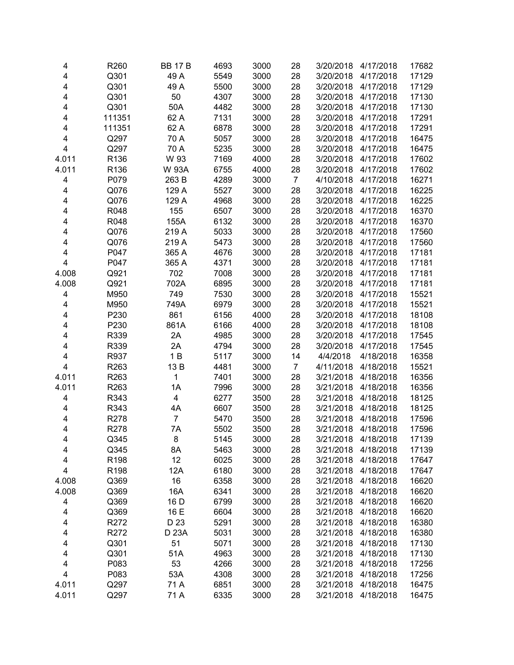| 4     | R <sub>260</sub> | <b>BB 17 B</b> | 4693 | 3000 | 28             | 3/20/2018 | 4/17/2018 | 17682 |
|-------|------------------|----------------|------|------|----------------|-----------|-----------|-------|
| 4     | Q301             | 49 A           | 5549 | 3000 | 28             | 3/20/2018 | 4/17/2018 | 17129 |
| 4     | Q301             | 49 A           | 5500 | 3000 | 28             | 3/20/2018 | 4/17/2018 | 17129 |
| 4     | Q301             | 50             | 4307 | 3000 | 28             | 3/20/2018 | 4/17/2018 | 17130 |
| 4     | Q301             | 50A            | 4482 | 3000 | 28             | 3/20/2018 | 4/17/2018 | 17130 |
| 4     | 111351           | 62 A           | 7131 | 3000 | 28             | 3/20/2018 | 4/17/2018 | 17291 |
| 4     | 111351           | 62 A           | 6878 | 3000 | 28             | 3/20/2018 | 4/17/2018 | 17291 |
| 4     | Q297             | 70 A           | 5057 | 3000 | 28             | 3/20/2018 | 4/17/2018 | 16475 |
| 4     | Q297             | 70 A           | 5235 | 3000 | 28             | 3/20/2018 | 4/17/2018 | 16475 |
| 4.011 | R136             | W 93           | 7169 | 4000 | 28             | 3/20/2018 | 4/17/2018 | 17602 |
| 4.011 | R136             | W 93A          | 6755 | 4000 | 28             | 3/20/2018 | 4/17/2018 | 17602 |
| 4     | P079             | 263 B          | 4289 | 3000 | $\overline{7}$ | 4/10/2018 | 4/17/2018 | 16271 |
| 4     | Q076             | 129 A          | 5527 | 3000 | 28             | 3/20/2018 | 4/17/2018 | 16225 |
| 4     | Q076             | 129 A          | 4968 | 3000 | 28             | 3/20/2018 | 4/17/2018 | 16225 |
| 4     | R048             | 155            | 6507 | 3000 | 28             | 3/20/2018 | 4/17/2018 | 16370 |
| 4     | R048             | 155A           | 6132 | 3000 | 28             | 3/20/2018 | 4/17/2018 | 16370 |
| 4     | Q076             | 219 A          | 5033 | 3000 | 28             | 3/20/2018 | 4/17/2018 | 17560 |
| 4     | Q076             | 219 A          | 5473 | 3000 | 28             | 3/20/2018 | 4/17/2018 | 17560 |
| 4     | P047             | 365 A          | 4676 | 3000 | 28             | 3/20/2018 | 4/17/2018 | 17181 |
| 4     | P047             | 365 A          | 4371 | 3000 | 28             | 3/20/2018 | 4/17/2018 | 17181 |
| 4.008 | Q921             | 702            | 7008 | 3000 | 28             | 3/20/2018 | 4/17/2018 | 17181 |
| 4.008 | Q921             | 702A           | 6895 | 3000 | 28             | 3/20/2018 | 4/17/2018 | 17181 |
| 4     | M950             | 749            | 7530 | 3000 | 28             | 3/20/2018 | 4/17/2018 | 15521 |
| 4     | M950             | 749A           | 6979 | 3000 | 28             | 3/20/2018 | 4/17/2018 | 15521 |
| 4     | P230             | 861            | 6156 | 4000 | 28             | 3/20/2018 | 4/17/2018 | 18108 |
| 4     | P230             | 861A           | 6166 | 4000 | 28             | 3/20/2018 | 4/17/2018 | 18108 |
| 4     | R339             | 2A             | 4985 | 3000 | 28             | 3/20/2018 | 4/17/2018 | 17545 |
| 4     | R339             | 2A             | 4794 | 3000 | 28             | 3/20/2018 | 4/17/2018 | 17545 |
| 4     | R937             | 1B             | 5117 | 3000 | 14             | 4/4/2018  | 4/18/2018 | 16358 |
| 4     | R263             | 13B            | 4481 | 3000 | $\overline{7}$ | 4/11/2018 | 4/18/2018 | 15521 |
| 4.011 | R263             | $\mathbf 1$    | 7401 | 3000 | 28             | 3/21/2018 | 4/18/2018 | 16356 |
| 4.011 | R263             | 1A             | 7996 | 3000 | 28             | 3/21/2018 | 4/18/2018 | 16356 |
| 4     | R343             | 4              | 6277 | 3500 | 28             | 3/21/2018 | 4/18/2018 | 18125 |
| 4     | R343             | 4A             | 6607 | 3500 | 28             | 3/21/2018 | 4/18/2018 | 18125 |
| 4     | R278             | $\overline{7}$ | 5470 | 3500 | 28             | 3/21/2018 | 4/18/2018 | 17596 |
| 4     | R278             | 7A             | 5502 | 3500 | 28             | 3/21/2018 | 4/18/2018 | 17596 |
| 4     | Q345             | 8              | 5145 | 3000 | 28             | 3/21/2018 | 4/18/2018 | 17139 |
| 4     | Q345             | 8A             | 5463 | 3000 | 28             | 3/21/2018 | 4/18/2018 | 17139 |
| 4     | R <sub>198</sub> | 12             | 6025 | 3000 | 28             | 3/21/2018 | 4/18/2018 | 17647 |
| 4     | R <sub>198</sub> | 12A            | 6180 | 3000 | 28             | 3/21/2018 | 4/18/2018 | 17647 |
| 4.008 | Q369             | 16             | 6358 | 3000 | 28             | 3/21/2018 | 4/18/2018 | 16620 |
| 4.008 | Q369             | 16A            | 6341 | 3000 | 28             | 3/21/2018 | 4/18/2018 | 16620 |
| 4     | Q369             | 16 D           | 6799 | 3000 | 28             | 3/21/2018 | 4/18/2018 | 16620 |
| 4     | Q369             | 16 E           | 6604 | 3000 | 28             | 3/21/2018 | 4/18/2018 | 16620 |
| 4     | R272             | D 23           | 5291 | 3000 | 28             | 3/21/2018 | 4/18/2018 | 16380 |
| 4     | R272             | D 23A          | 5031 | 3000 | 28             | 3/21/2018 | 4/18/2018 | 16380 |
| 4     | Q301             | 51             | 5071 | 3000 | 28             | 3/21/2018 | 4/18/2018 | 17130 |
| 4     | Q301             | 51A            | 4963 | 3000 | 28             | 3/21/2018 | 4/18/2018 | 17130 |
| 4     | P083             | 53             | 4266 | 3000 | 28             | 3/21/2018 | 4/18/2018 | 17256 |
| 4     | P083             | 53A            | 4308 | 3000 | 28             | 3/21/2018 | 4/18/2018 | 17256 |
| 4.011 | Q297             | 71 A           | 6851 | 3000 | 28             | 3/21/2018 | 4/18/2018 | 16475 |
| 4.011 | Q297             | 71 A           | 6335 | 3000 | 28             | 3/21/2018 | 4/18/2018 | 16475 |
|       |                  |                |      |      |                |           |           |       |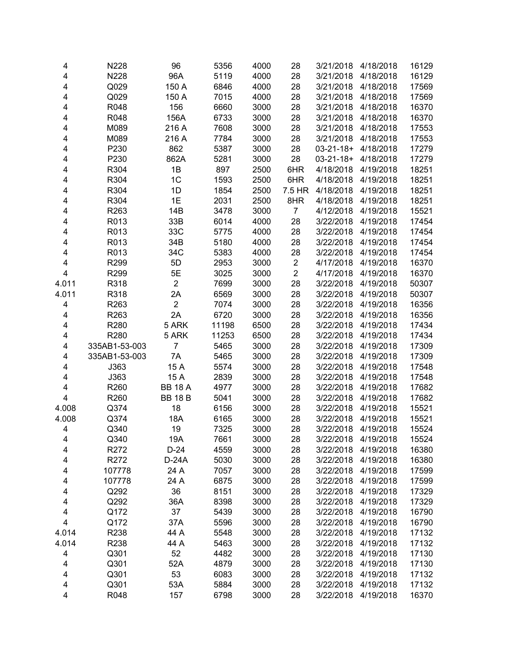| 4                       | N228          | 96                   | 5356  | 4000 | 28             | 3/21/2018        | 4/18/2018 | 16129 |
|-------------------------|---------------|----------------------|-------|------|----------------|------------------|-----------|-------|
| 4                       | N228          | 96A                  | 5119  | 4000 | 28             | 3/21/2018        | 4/18/2018 | 16129 |
| 4                       | Q029          | 150 A                | 6846  | 4000 | 28             | 3/21/2018        | 4/18/2018 | 17569 |
| 4                       | Q029          | 150 A                | 7015  | 4000 | 28             | 3/21/2018        | 4/18/2018 | 17569 |
| 4                       | R048          | 156                  | 6660  | 3000 | 28             | 3/21/2018        | 4/18/2018 | 16370 |
| 4                       | R048          | 156A                 | 6733  | 3000 | 28             | 3/21/2018        | 4/18/2018 | 16370 |
| 4                       | M089          | 216 A                | 7608  | 3000 | 28             | 3/21/2018        | 4/18/2018 | 17553 |
| 4                       | M089          | 216 A                | 7784  | 3000 | 28             | 3/21/2018        | 4/18/2018 | 17553 |
| 4                       | P230          | 862                  | 5387  | 3000 | 28             | $03 - 21 - 18 +$ | 4/18/2018 | 17279 |
| 4                       | P230          | 862A                 | 5281  | 3000 | 28             | $03 - 21 - 18 +$ | 4/18/2018 | 17279 |
| 4                       | R304          | 1B                   | 897   | 2500 | 6HR            | 4/18/2018        | 4/19/2018 | 18251 |
| 4                       | R304          | 1 <sup>C</sup>       | 1593  | 2500 | 6HR            | 4/18/2018        | 4/19/2018 | 18251 |
| 4                       | R304          | 1D                   | 1854  | 2500 | 7.5 HR         | 4/18/2018        | 4/19/2018 | 18251 |
| 4                       | R304          | 1E                   | 2031  | 2500 | 8HR            | 4/18/2018        | 4/19/2018 | 18251 |
| 4                       | R263          | 14B                  | 3478  | 3000 | $\overline{7}$ | 4/12/2018        | 4/19/2018 | 15521 |
| 4                       | R013          | 33B                  | 6014  | 4000 | 28             | 3/22/2018        | 4/19/2018 | 17454 |
| 4                       | R013          | 33C                  | 5775  | 4000 | 28             | 3/22/2018        | 4/19/2018 | 17454 |
| 4                       | R013          | 34B                  | 5180  | 4000 | 28             | 3/22/2018        | 4/19/2018 | 17454 |
| 4                       | R013          | 34C                  | 5383  | 4000 | 28             | 3/22/2018        | 4/19/2018 | 17454 |
| $\overline{\mathbf{4}}$ | R299          | 5D                   | 2953  | 3000 | $\overline{c}$ | 4/17/2018        | 4/19/2018 | 16370 |
| 4                       | R299          | 5E                   | 3025  | 3000 | $\overline{2}$ | 4/17/2018        | 4/19/2018 | 16370 |
| 4.011                   | R318          | $\overline{2}$       | 7699  | 3000 | 28             | 3/22/2018        | 4/19/2018 | 50307 |
|                         | R318          |                      | 6569  |      |                |                  |           |       |
| 4.011                   | R263          | 2A<br>$\overline{2}$ |       | 3000 | 28             | 3/22/2018        | 4/19/2018 | 50307 |
| 4                       |               |                      | 7074  | 3000 | 28             | 3/22/2018        | 4/19/2018 | 16356 |
| 4                       | R263          | 2A                   | 6720  | 3000 | 28             | 3/22/2018        | 4/19/2018 | 16356 |
| 4                       | R280          | 5 ARK                | 11198 | 6500 | 28             | 3/22/2018        | 4/19/2018 | 17434 |
| 4                       | R280          | 5 ARK                | 11253 | 6500 | 28             | 3/22/2018        | 4/19/2018 | 17434 |
| 4                       | 335AB1-53-003 | $\overline{7}$       | 5465  | 3000 | 28             | 3/22/2018        | 4/19/2018 | 17309 |
| 4                       | 335AB1-53-003 | 7A                   | 5465  | 3000 | 28             | 3/22/2018        | 4/19/2018 | 17309 |
| 4                       | J363          | 15 A                 | 5574  | 3000 | 28             | 3/22/2018        | 4/19/2018 | 17548 |
| 4                       | J363          | 15 A                 | 2839  | 3000 | 28             | 3/22/2018        | 4/19/2018 | 17548 |
| 4                       | R260          | <b>BB 18 A</b>       | 4977  | 3000 | 28             | 3/22/2018        | 4/19/2018 | 17682 |
| $\overline{\mathbf{4}}$ | R260          | <b>BB 18 B</b>       | 5041  | 3000 | 28             | 3/22/2018        | 4/19/2018 | 17682 |
| 4.008                   | Q374          | 18                   | 6156  | 3000 | 28             | 3/22/2018        | 4/19/2018 | 15521 |
| 4.008                   | Q374          | 18A                  | 6165  | 3000 | 28             | 3/22/2018        | 4/19/2018 | 15521 |
| 4                       | Q340          | 19                   | 7325  | 3000 | 28             | 3/22/2018        | 4/19/2018 | 15524 |
| 4                       | Q340          | 19A                  | 7661  | 3000 | 28             | 3/22/2018        | 4/19/2018 | 15524 |
| 4                       | R272          | D-24                 | 4559  | 3000 | 28             | 3/22/2018        | 4/19/2018 | 16380 |
| 4                       | R272          | D-24A                | 5030  | 3000 | 28             | 3/22/2018        | 4/19/2018 | 16380 |
| 4                       | 107778        | 24 A                 | 7057  | 3000 | 28             | 3/22/2018        | 4/19/2018 | 17599 |
| 4                       | 107778        | 24 A                 | 6875  | 3000 | 28             | 3/22/2018        | 4/19/2018 | 17599 |
| 4                       | Q292          | 36                   | 8151  | 3000 | 28             | 3/22/2018        | 4/19/2018 | 17329 |
| 4                       | Q292          | 36A                  | 8398  | 3000 | 28             | 3/22/2018        | 4/19/2018 | 17329 |
| 4                       | Q172          | 37                   | 5439  | 3000 | 28             | 3/22/2018        | 4/19/2018 | 16790 |
| $\overline{\mathbf{4}}$ | Q172          | 37A                  | 5596  | 3000 | 28             | 3/22/2018        | 4/19/2018 | 16790 |
| 4.014                   | R238          | 44 A                 | 5548  | 3000 | 28             | 3/22/2018        | 4/19/2018 | 17132 |
| 4.014                   | R238          | 44 A                 | 5463  | 3000 | 28             | 3/22/2018        | 4/19/2018 | 17132 |
| 4                       | Q301          | 52                   | 4482  | 3000 | 28             | 3/22/2018        | 4/19/2018 | 17130 |
| 4                       | Q301          | 52A                  | 4879  | 3000 | 28             | 3/22/2018        | 4/19/2018 | 17130 |
| 4                       | Q301          | 53                   | 6083  | 3000 | 28             | 3/22/2018        | 4/19/2018 | 17132 |
| 4                       | Q301          | 53A                  | 5884  | 3000 | 28             | 3/22/2018        | 4/19/2018 | 17132 |
| 4                       | R048          | 157                  | 6798  | 3000 | 28             | 3/22/2018        | 4/19/2018 | 16370 |
|                         |               |                      |       |      |                |                  |           |       |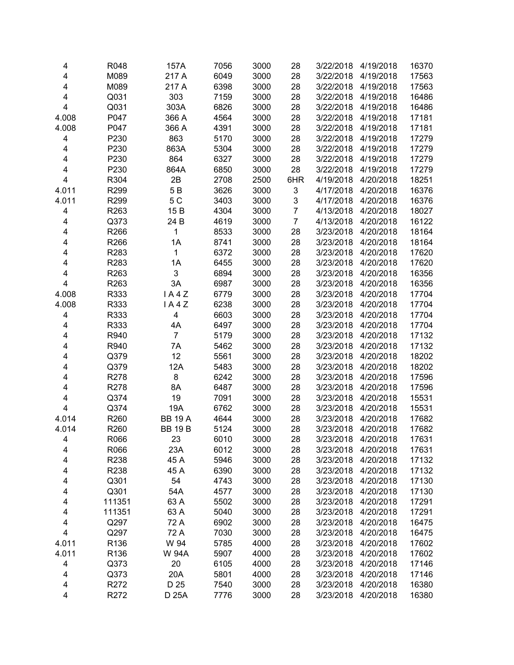| 4                       | R048             | 157A           | 7056         | 3000         | 28             | 3/22/2018              | 4/19/2018              | 16370          |
|-------------------------|------------------|----------------|--------------|--------------|----------------|------------------------|------------------------|----------------|
| $\overline{\mathbf{4}}$ | M089             | 217 A          | 6049         | 3000         | 28             | 3/22/2018              | 4/19/2018              | 17563          |
| $\overline{\mathbf{4}}$ | M089             | 217 A          | 6398         | 3000         | 28             | 3/22/2018              | 4/19/2018              | 17563          |
| 4                       | Q031             | 303            | 7159         | 3000         | 28             | 3/22/2018              | 4/19/2018              | 16486          |
| 4                       | Q031             | 303A           | 6826         | 3000         | 28             | 3/22/2018              | 4/19/2018              | 16486          |
| 4.008                   | P047             | 366 A          | 4564         | 3000         | 28             | 3/22/2018              | 4/19/2018              | 17181          |
| 4.008                   | P047             | 366 A          | 4391         | 3000         | 28             | 3/22/2018              | 4/19/2018              | 17181          |
| 4                       | P230             | 863            | 5170         | 3000         | 28             | 3/22/2018              | 4/19/2018              | 17279          |
| 4                       | P230             | 863A           | 5304         | 3000         | 28             | 3/22/2018              | 4/19/2018              | 17279          |
| 4                       | P230             | 864            | 6327         | 3000         | 28             | 3/22/2018              | 4/19/2018              | 17279          |
| 4                       | P230             | 864A           | 6850         | 3000         | 28             | 3/22/2018              | 4/19/2018              | 17279          |
| $\overline{\mathbf{4}}$ | R304             | 2B             | 2708         | 2500         | 6HR            | 4/19/2018              | 4/20/2018              | 18251          |
| 4.011                   | R <sub>299</sub> | 5 B            | 3626         | 3000         | 3              | 4/17/2018              | 4/20/2018              | 16376          |
| 4.011                   | R299             | 5 C            | 3403         | 3000         | 3              | 4/17/2018              | 4/20/2018              | 16376          |
| 4                       | R263             | 15 B           | 4304         | 3000         | $\overline{7}$ | 4/13/2018              | 4/20/2018              | 18027          |
| 4                       | Q373             | 24 B           | 4619         | 3000         | $\overline{7}$ | 4/13/2018              | 4/20/2018              | 16122          |
| $\overline{\mathbf{4}}$ | R266             | 1              | 8533         | 3000         | 28             | 3/23/2018              | 4/20/2018              | 18164          |
| 4                       | R266             | 1A             | 8741         | 3000         | 28             | 3/23/2018              | 4/20/2018              | 18164          |
| 4                       | R283             | 1              | 6372         | 3000         | 28             | 3/23/2018              | 4/20/2018              | 17620          |
| 4                       | R283             | 1A             | 6455         | 3000         | 28             | 3/23/2018              | 4/20/2018              | 17620          |
| 4                       | R263             | 3              | 6894         | 3000         | 28             | 3/23/2018              | 4/20/2018              | 16356          |
| 4                       | R <sub>263</sub> | 3A             | 6987         | 3000         | 28             | 3/23/2018              | 4/20/2018              | 16356          |
| 4.008                   | R333             | IA4Z           | 6779         | 3000         | 28             | 3/23/2018              | 4/20/2018              | 17704          |
| 4.008                   | R333             | IA4Z           | 6238         | 3000         | 28             | 3/23/2018              | 4/20/2018              | 17704          |
| 4                       | R333             | 4              | 6603         | 3000         | 28             | 3/23/2018              | 4/20/2018              | 17704          |
| 4                       | R333             | 4A             | 6497         | 3000         | 28             | 3/23/2018              | 4/20/2018              | 17704          |
| 4                       | R940             | $\overline{7}$ | 5179         | 3000         | 28             | 3/23/2018              | 4/20/2018              | 17132          |
| 4                       | R940             | 7A             | 5462         | 3000         | 28             | 3/23/2018              | 4/20/2018              | 17132          |
| 4                       | Q379             | 12             | 5561         | 3000         | 28             | 3/23/2018              | 4/20/2018              | 18202          |
| 4                       | Q379             | 12A            | 5483         | 3000         | 28             | 3/23/2018              | 4/20/2018              | 18202          |
| 4                       | R278             | 8              | 6242         | 3000         | 28             | 3/23/2018              | 4/20/2018              | 17596          |
| 4                       | R278             | 8A             | 6487         | 3000         | 28             | 3/23/2018              | 4/20/2018              | 17596          |
| $\overline{\mathbf{4}}$ | Q374             | 19             | 7091         | 3000         | 28             | 3/23/2018              | 4/20/2018              | 15531          |
| $\overline{\mathbf{4}}$ | Q374             | 19A            | 6762         | 3000         | 28             | 3/23/2018              | 4/20/2018              | 15531          |
| 4.014                   | R260             | <b>BB 19 A</b> | 4644         | 3000         | 28             | 3/23/2018              | 4/20/2018              | 17682          |
| 4.014                   | R260             | <b>BB 19 B</b> | 5124         | 3000         | 28             | 3/23/2018              | 4/20/2018              | 17682          |
|                         |                  |                |              |              |                |                        |                        |                |
| 4                       | R066<br>R066     | 23<br>23A      | 6010<br>6012 | 3000<br>3000 | 28<br>28       | 3/23/2018<br>3/23/2018 | 4/20/2018<br>4/20/2018 | 17631<br>17631 |
| 4                       | R238             | 45 A           |              |              |                |                        |                        | 17132          |
| 4                       |                  |                | 5946         | 3000         | 28             | 3/23/2018              | 4/20/2018              |                |
| 4                       | R238             | 45 A           | 6390<br>4743 | 3000         | 28             | 3/23/2018              | 4/20/2018              | 17132          |
| 4                       | Q301             | 54             |              | 3000         | 28             | 3/23/2018              | 4/20/2018              | 17130          |
| 4                       | Q301             | 54A            | 4577         | 3000         | 28             | 3/23/2018              | 4/20/2018              | 17130          |
| 4                       | 111351           | 63 A           | 5502         | 3000         | 28             | 3/23/2018              | 4/20/2018              | 17291          |
| 4                       | 111351           | 63 A           | 5040         | 3000         | 28             | 3/23/2018              | 4/20/2018              | 17291          |
| 4                       | Q297             | 72 A           | 6902         | 3000         | 28             | 3/23/2018              | 4/20/2018              | 16475          |
| 4                       | Q297             | 72 A           | 7030         | 3000         | 28             | 3/23/2018              | 4/20/2018              | 16475          |
| 4.011                   | R136             | W 94           | 5785         | 4000         | 28             | 3/23/2018              | 4/20/2018              | 17602          |
| 4.011                   | R136             | W 94A          | 5907         | 4000         | 28             | 3/23/2018              | 4/20/2018              | 17602          |
| 4                       | Q373             | 20             | 6105         | 4000         | 28             | 3/23/2018              | 4/20/2018              | 17146          |
| 4                       | Q373             | 20A            | 5801         | 4000         | 28             | 3/23/2018              | 4/20/2018              | 17146          |
| 4                       | R272             | D 25           | 7540         | 3000         | 28             | 3/23/2018              | 4/20/2018              | 16380          |
| 4                       | R272             | D 25A          | 7776         | 3000         | 28             | 3/23/2018              | 4/20/2018              | 16380          |